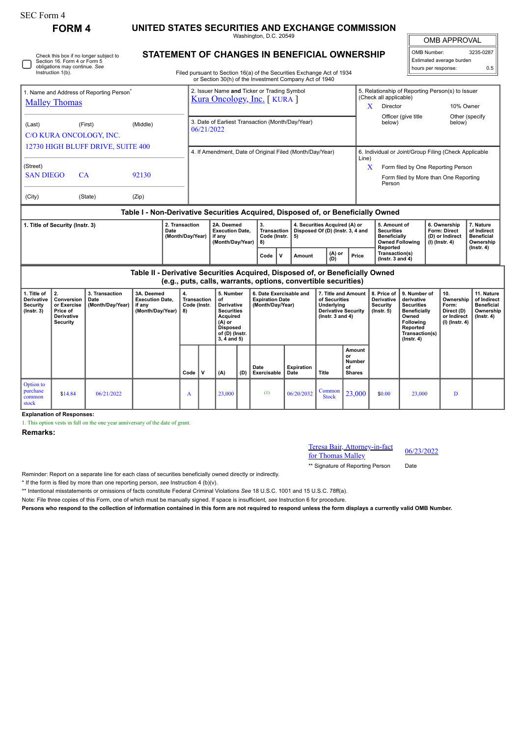| SEC Form 4                                                                   |                                                                                                                              |                                            |                                                                            |          |                                    |                                                                            |                                                                                                                                    |                                                                                                                                                                                         |                                                                                                                                                                                                         |                           |                                                                                                          |                                                                                              |                                                                                            |                                                                                                                                                |                                                               |                                                                          |                                                                                 |  |  |
|------------------------------------------------------------------------------|------------------------------------------------------------------------------------------------------------------------------|--------------------------------------------|----------------------------------------------------------------------------|----------|------------------------------------|----------------------------------------------------------------------------|------------------------------------------------------------------------------------------------------------------------------------|-----------------------------------------------------------------------------------------------------------------------------------------------------------------------------------------|---------------------------------------------------------------------------------------------------------------------------------------------------------------------------------------------------------|---------------------------|----------------------------------------------------------------------------------------------------------|----------------------------------------------------------------------------------------------|--------------------------------------------------------------------------------------------|------------------------------------------------------------------------------------------------------------------------------------------------|---------------------------------------------------------------|--------------------------------------------------------------------------|---------------------------------------------------------------------------------|--|--|
|                                                                              | <b>FORM4</b>                                                                                                                 |                                            | UNITED STATES SECURITIES AND EXCHANGE COMMISSION<br>Washington, D.C. 20549 |          |                                    |                                                                            |                                                                                                                                    |                                                                                                                                                                                         |                                                                                                                                                                                                         |                           |                                                                                                          |                                                                                              |                                                                                            |                                                                                                                                                |                                                               | <b>OMB APPROVAL</b>                                                      |                                                                                 |  |  |
|                                                                              | Check this box if no longer subject to<br>Section 16. Form 4 or Form 5<br>obligations may continue. See<br>Instruction 1(b). |                                            |                                                                            |          |                                    |                                                                            |                                                                                                                                    | <b>STATEMENT OF CHANGES IN BENEFICIAL OWNERSHIP</b><br>Filed pursuant to Section 16(a) of the Securities Exchange Act of 1934<br>or Section 30(h) of the Investment Company Act of 1940 |                                                                                                                                                                                                         |                           |                                                                                                          |                                                                                              |                                                                                            | 3235-0287<br>OMB Number:<br>Estimated average burden<br>hours per response:<br>0.5                                                             |                                                               |                                                                          |                                                                                 |  |  |
| 1. Name and Address of Reporting Person <sup>®</sup><br><b>Malley Thomas</b> |                                                                                                                              |                                            |                                                                            |          |                                    | 2. Issuer Name and Ticker or Trading Symbol<br>Kura Oncology, Inc. [KURA ] |                                                                                                                                    |                                                                                                                                                                                         |                                                                                                                                                                                                         |                           |                                                                                                          |                                                                                              | (Check all applicable)<br>X<br>Director                                                    |                                                                                                                                                | 5. Relationship of Reporting Person(s) to Issuer<br>10% Owner |                                                                          |                                                                                 |  |  |
| (First)<br>(Middle)<br>(Last)<br>C/O KURA ONCOLOGY, INC.                     |                                                                                                                              |                                            |                                                                            |          |                                    | 3. Date of Earliest Transaction (Month/Day/Year)<br>06/21/2022             |                                                                                                                                    |                                                                                                                                                                                         |                                                                                                                                                                                                         |                           |                                                                                                          |                                                                                              | Officer (give title<br>Other (specify<br>below)<br>below)                                  |                                                                                                                                                |                                                               |                                                                          |                                                                                 |  |  |
| 12730 HIGH BLUFF DRIVE, SUITE 400                                            |                                                                                                                              |                                            |                                                                            |          |                                    | 4. If Amendment, Date of Original Filed (Month/Day/Year)<br>Line)          |                                                                                                                                    |                                                                                                                                                                                         |                                                                                                                                                                                                         |                           |                                                                                                          |                                                                                              |                                                                                            | 6. Individual or Joint/Group Filing (Check Applicable                                                                                          |                                                               |                                                                          |                                                                                 |  |  |
| (Street)<br><b>SAN DIEGO</b><br>CA<br>92130                                  |                                                                                                                              |                                            |                                                                            |          |                                    |                                                                            |                                                                                                                                    |                                                                                                                                                                                         |                                                                                                                                                                                                         |                           |                                                                                                          |                                                                                              | X<br>Form filed by One Reporting Person<br>Form filed by More than One Reporting<br>Person |                                                                                                                                                |                                                               |                                                                          |                                                                                 |  |  |
| (City)<br>(State)<br>(Zip)                                                   |                                                                                                                              |                                            |                                                                            |          |                                    |                                                                            |                                                                                                                                    |                                                                                                                                                                                         |                                                                                                                                                                                                         |                           |                                                                                                          |                                                                                              |                                                                                            |                                                                                                                                                |                                                               |                                                                          |                                                                                 |  |  |
| 2. Transaction<br>1. Title of Security (Instr. 3)<br>Date                    |                                                                                                                              |                                            |                                                                            |          |                                    | 2A. Deemed<br><b>Execution Date,</b><br>if any                             |                                                                                                                                    |                                                                                                                                                                                         | Table I - Non-Derivative Securities Acquired, Disposed of, or Beneficially Owned<br>3.<br>4. Securities Acquired (A) or<br><b>Transaction</b><br>Disposed Of (D) (Instr. 3, 4 and<br>Code (Instr.<br>5) |                           |                                                                                                          |                                                                                              | 5. Amount of<br><b>Securities</b>                                                          |                                                                                                                                                |                                                               | 6. Ownership<br><b>Form: Direct</b><br>(D) or Indirect                   | 7. Nature<br>of Indirect<br><b>Beneficial</b>                                   |  |  |
|                                                                              |                                                                                                                              |                                            | (Month/Day/Year)                                                           |          | (Month/Day/Year)                   |                                                                            |                                                                                                                                    | 8)<br>$\mathbf v$<br>Code                                                                                                                                                               | (A) or<br>(D)<br>Amount                                                                                                                                                                                 |                           | Price                                                                                                    | Beneficially<br><b>Owned Following</b><br>Reported<br>Transaction(s)<br>( $lnstr. 3 and 4$ ) |                                                                                            |                                                                                                                                                | $(I)$ (Instr. 4)                                              | Ownership<br>$($ Instr. 4 $)$                                            |                                                                                 |  |  |
|                                                                              |                                                                                                                              |                                            |                                                                            |          |                                    |                                                                            |                                                                                                                                    |                                                                                                                                                                                         | Table II - Derivative Securities Acquired, Disposed of, or Beneficially Owned<br>(e.g., puts, calls, warrants, options, convertible securities)                                                         |                           |                                                                                                          |                                                                                              |                                                                                            |                                                                                                                                                |                                                               |                                                                          |                                                                                 |  |  |
| 1. Title of<br>Derivative<br><b>Security</b><br>$($ lnstr. 3 $)$             | 2.<br>Conversion<br>or Exercise<br>Price of<br><b>Derivative</b><br><b>Security</b>                                          | 3. Transaction<br>Date<br>(Month/Day/Year) | 3A. Deemed<br><b>Execution Date,</b><br>if any<br>(Month/Day/Year)         | 4.<br>8) | <b>Transaction</b><br>Code (Instr. |                                                                            | 5. Number<br>of<br>Derivative<br><b>Securities</b><br>Acquired<br>$(A)$ or<br><b>Disposed</b><br>of (D) (Instr.<br>$3, 4$ and $5)$ |                                                                                                                                                                                         | 6. Date Exercisable and<br><b>Expiration Date</b><br>(Month/Day/Year)                                                                                                                                   |                           | 7. Title and Amount<br>of Securities<br>Underlying<br><b>Derivative Security</b><br>( $lnstr. 3 and 4$ ) |                                                                                              | 8. Price of<br>Derivative<br>Security<br>$($ lnstr. 5 $)$                                  | 9. Number of<br>derivative<br><b>Securities</b><br><b>Beneficially</b><br>Owned<br>Following<br>Reported<br>Transaction(s)<br>$($ Instr. 4 $)$ |                                                               | 10.<br>Ownership<br>Form:<br>Direct (D)<br>or Indirect<br>(I) (Instr. 4) | 11. Nature<br>of Indirect<br><b>Beneficial</b><br>Ownership<br>$($ Instr. 4 $)$ |  |  |
|                                                                              |                                                                                                                              |                                            |                                                                            |          | Code                               | $\mathsf{v}$                                                               | (A)                                                                                                                                | (D)                                                                                                                                                                                     | Date<br>Exercisable                                                                                                                                                                                     | <b>Expiration</b><br>Date | <b>Title</b>                                                                                             | Amount<br>or<br><b>Number</b><br>of<br><b>Shares</b>                                         |                                                                                            |                                                                                                                                                |                                                               |                                                                          |                                                                                 |  |  |
| Option to<br>purchase<br>common<br>stock                                     | \$14.84                                                                                                                      | 06/21/2022                                 |                                                                            |          | A                                  |                                                                            | 23,000                                                                                                                             |                                                                                                                                                                                         | (1)                                                                                                                                                                                                     | 06/20/2032                | Common<br><b>Stock</b>                                                                                   | 23,000                                                                                       | \$0.00                                                                                     | 23,000                                                                                                                                         |                                                               | D                                                                        |                                                                                 |  |  |

**Explanation of Responses:**

1. This option vests in full on the one year anniversary of the date of grant.

**Remarks:**

Teresa Bair, Attorney-in-fact For Thomas Malley<br>for Thomas Malley<br>196/23/2022

\*\* Signature of Reporting Person Date

Reminder: Report on a separate line for each class of securities beneficially owned directly or indirectly.

\* If the form is filed by more than one reporting person, *see* Instruction 4 (b)(v).

\*\* Intentional misstatements or omissions of facts constitute Federal Criminal Violations *See* 18 U.S.C. 1001 and 15 U.S.C. 78ff(a).

Note: File three copies of this Form, one of which must be manually signed. If space is insufficient, *see* Instruction 6 for procedure.

**Persons who respond to the collection of information contained in this form are not required to respond unless the form displays a currently valid OMB Number.**